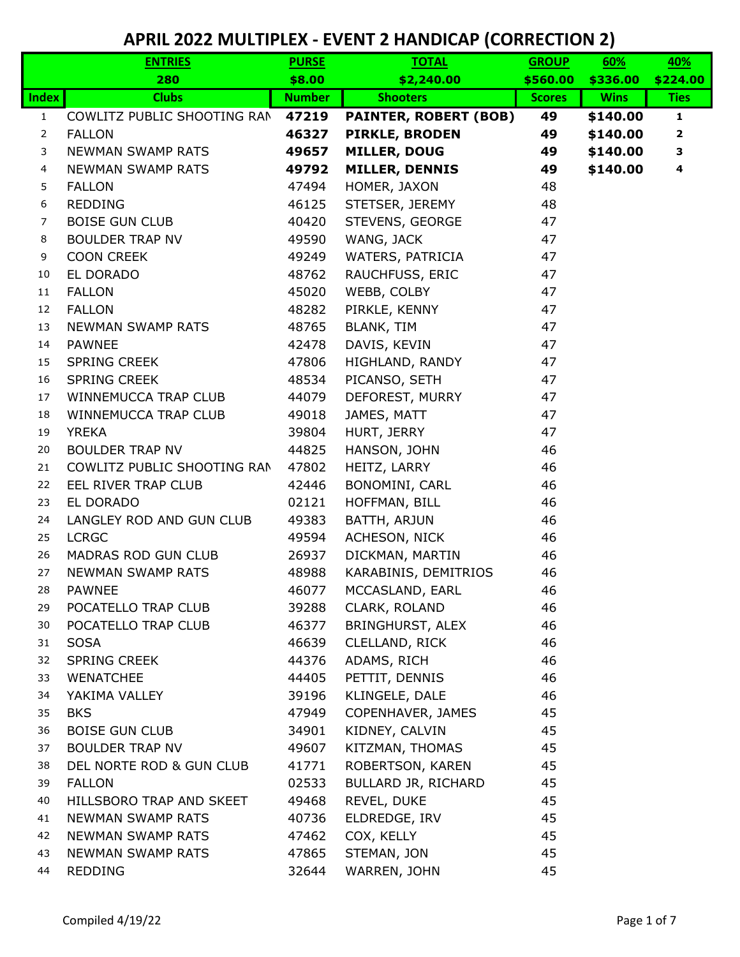|                | <b>ENTRIES</b>              | <b>PURSE</b>  | <b>TOTAL</b>                 | <b>GROUP</b>  | 60%         | 40%                     |
|----------------|-----------------------------|---------------|------------------------------|---------------|-------------|-------------------------|
|                | 280                         | \$8.00        | \$2,240.00                   | \$560.00      | \$336.00    | \$224.00                |
| <b>Index</b>   | <b>Clubs</b>                | <b>Number</b> | <b>Shooters</b>              | <b>Scores</b> | <b>Wins</b> | <b>Ties</b>             |
| $\mathbf{1}$   | COWLITZ PUBLIC SHOOTING RAN | 47219         | <b>PAINTER, ROBERT (BOB)</b> | 49            | \$140.00    | $\mathbf{1}$            |
| $\overline{2}$ | <b>FALLON</b>               | 46327         | <b>PIRKLE, BRODEN</b>        | 49            | \$140.00    | $\overline{\mathbf{2}}$ |
| 3              | <b>NEWMAN SWAMP RATS</b>    | 49657         | <b>MILLER, DOUG</b>          | 49            | \$140.00    | 3                       |
| 4              | <b>NEWMAN SWAMP RATS</b>    | 49792         | <b>MILLER, DENNIS</b>        | 49            | \$140.00    | 4                       |
| 5              | <b>FALLON</b>               | 47494         | HOMER, JAXON                 | 48            |             |                         |
| 6              | REDDING                     | 46125         | STETSER, JEREMY              | 48            |             |                         |
| $\overline{7}$ | <b>BOISE GUN CLUB</b>       | 40420         | STEVENS, GEORGE              | 47            |             |                         |
| 8              | <b>BOULDER TRAP NV</b>      | 49590         | WANG, JACK                   | 47            |             |                         |
| 9              | <b>COON CREEK</b>           | 49249         | WATERS, PATRICIA             | 47            |             |                         |
| 10             | EL DORADO                   | 48762         | RAUCHFUSS, ERIC              | 47            |             |                         |
| $11\,$         | <b>FALLON</b>               | 45020         | WEBB, COLBY                  | 47            |             |                         |
| 12             | <b>FALLON</b>               | 48282         | PIRKLE, KENNY                | 47            |             |                         |
| 13             | NEWMAN SWAMP RATS           | 48765         | <b>BLANK, TIM</b>            | 47            |             |                         |
| 14             | <b>PAWNEE</b>               | 42478         | DAVIS, KEVIN                 | 47            |             |                         |
| 15             | <b>SPRING CREEK</b>         | 47806         | HIGHLAND, RANDY              | 47            |             |                         |
| 16             | <b>SPRING CREEK</b>         | 48534         | PICANSO, SETH                | 47            |             |                         |
| 17             | WINNEMUCCA TRAP CLUB        | 44079         | DEFOREST, MURRY              | 47            |             |                         |
| 18             | WINNEMUCCA TRAP CLUB        | 49018         | JAMES, MATT                  | 47            |             |                         |
| 19             | <b>YREKA</b>                | 39804         | HURT, JERRY                  | 47            |             |                         |
| 20             | <b>BOULDER TRAP NV</b>      | 44825         | HANSON, JOHN                 | 46            |             |                         |
| 21             | COWLITZ PUBLIC SHOOTING RAN | 47802         | HEITZ, LARRY                 | 46            |             |                         |
| 22             | EEL RIVER TRAP CLUB         | 42446         | BONOMINI, CARL               | 46            |             |                         |
| 23             | EL DORADO                   | 02121         | HOFFMAN, BILL                | 46            |             |                         |
| 24             | LANGLEY ROD AND GUN CLUB    | 49383         | BATTH, ARJUN                 | 46            |             |                         |
| 25             | <b>LCRGC</b>                | 49594         | ACHESON, NICK                | 46            |             |                         |
| 26             | MADRAS ROD GUN CLUB         | 26937         | DICKMAN, MARTIN              | 46            |             |                         |
| 27             | <b>NEWMAN SWAMP RATS</b>    | 48988         | KARABINIS, DEMITRIOS         | 46            |             |                         |
| 28             | <b>PAWNEE</b>               | 46077         | MCCASLAND, EARL              | 46            |             |                         |
| 29             | POCATELLO TRAP CLUB         | 39288         | CLARK, ROLAND                | 46            |             |                         |
| 30             | POCATELLO TRAP CLUB         | 46377         | BRINGHURST, ALEX             | 46            |             |                         |
| 31             | <b>SOSA</b>                 | 46639         | CLELLAND, RICK               | 46            |             |                         |
| 32             | <b>SPRING CREEK</b>         | 44376         | ADAMS, RICH                  | 46            |             |                         |
| 33             | <b>WENATCHEE</b>            | 44405         | PETTIT, DENNIS               | 46            |             |                         |
| 34             | YAKIMA VALLEY               | 39196         | KLINGELE, DALE               | 46            |             |                         |
| 35             | <b>BKS</b>                  | 47949         | COPENHAVER, JAMES            | 45            |             |                         |
| 36             | <b>BOISE GUN CLUB</b>       | 34901         | KIDNEY, CALVIN               | 45            |             |                         |
| 37             | <b>BOULDER TRAP NV</b>      | 49607         | KITZMAN, THOMAS              | 45            |             |                         |
| 38             | DEL NORTE ROD & GUN CLUB    | 41771         | ROBERTSON, KAREN             | 45            |             |                         |
| 39             | <b>FALLON</b>               | 02533         | BULLARD JR, RICHARD          | 45            |             |                         |
| 40             | HILLSBORO TRAP AND SKEET    | 49468         | REVEL, DUKE                  | 45            |             |                         |
| 41             | <b>NEWMAN SWAMP RATS</b>    | 40736         | ELDREDGE, IRV                | 45            |             |                         |
| 42             | NEWMAN SWAMP RATS           | 47462         | COX, KELLY                   | 45            |             |                         |
| 43             | <b>NEWMAN SWAMP RATS</b>    | 47865         | STEMAN, JON                  | 45            |             |                         |
| 44             | <b>REDDING</b>              | 32644         | WARREN, JOHN                 | 45            |             |                         |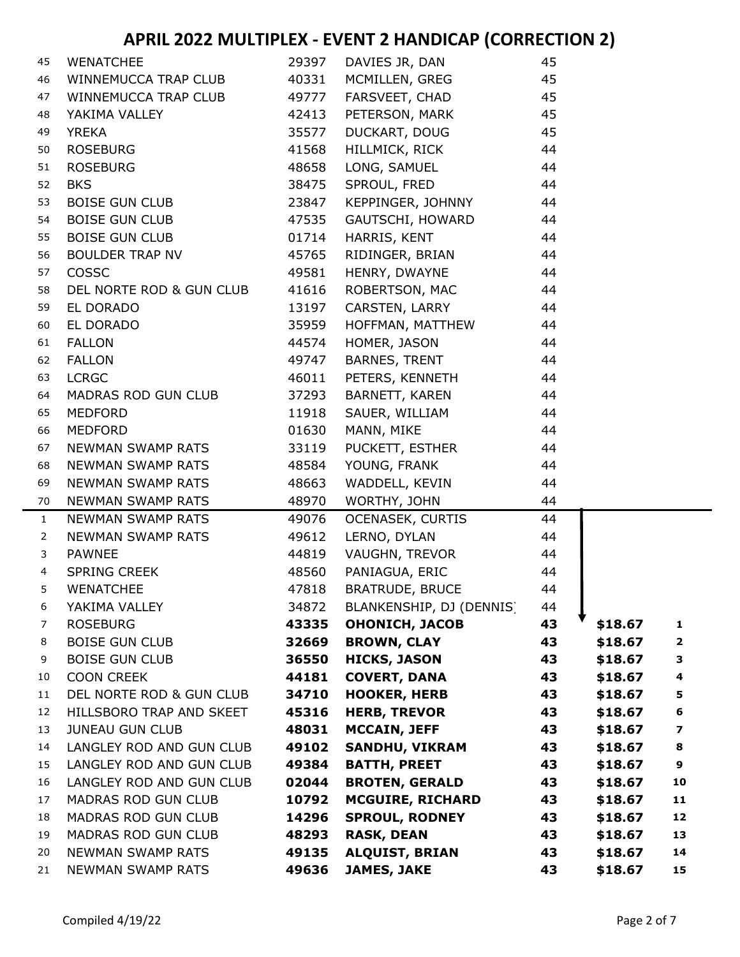| 45             | <b>WENATCHEE</b>           | 29397 | DAVIES JR, DAN           | 45 |         |                         |
|----------------|----------------------------|-------|--------------------------|----|---------|-------------------------|
| 46             | WINNEMUCCA TRAP CLUB       | 40331 | MCMILLEN, GREG           | 45 |         |                         |
| 47             | WINNEMUCCA TRAP CLUB       | 49777 | FARSVEET, CHAD           | 45 |         |                         |
| 48             | YAKIMA VALLEY              | 42413 | PETERSON, MARK           | 45 |         |                         |
| 49             | <b>YREKA</b>               | 35577 | DUCKART, DOUG            | 45 |         |                         |
| 50             | <b>ROSEBURG</b>            | 41568 | HILLMICK, RICK           | 44 |         |                         |
| 51             | <b>ROSEBURG</b>            | 48658 | LONG, SAMUEL             | 44 |         |                         |
| 52             | <b>BKS</b>                 | 38475 | SPROUL, FRED             | 44 |         |                         |
| 53             | <b>BOISE GUN CLUB</b>      | 23847 | KEPPINGER, JOHNNY        | 44 |         |                         |
| 54             | <b>BOISE GUN CLUB</b>      | 47535 | GAUTSCHI, HOWARD         | 44 |         |                         |
| 55             | <b>BOISE GUN CLUB</b>      | 01714 | HARRIS, KENT             | 44 |         |                         |
| 56             | <b>BOULDER TRAP NV</b>     | 45765 | RIDINGER, BRIAN          | 44 |         |                         |
| 57             | COSSC                      | 49581 | HENRY, DWAYNE            | 44 |         |                         |
| 58             | DEL NORTE ROD & GUN CLUB   | 41616 | ROBERTSON, MAC           | 44 |         |                         |
| 59             | EL DORADO                  | 13197 | CARSTEN, LARRY           | 44 |         |                         |
| 60             | EL DORADO                  | 35959 | HOFFMAN, MATTHEW         | 44 |         |                         |
| 61             | <b>FALLON</b>              | 44574 | HOMER, JASON             | 44 |         |                         |
| 62             | <b>FALLON</b>              | 49747 | BARNES, TRENT            | 44 |         |                         |
| 63             | <b>LCRGC</b>               | 46011 | PETERS, KENNETH          | 44 |         |                         |
| 64             | MADRAS ROD GUN CLUB        | 37293 | BARNETT, KAREN           | 44 |         |                         |
| 65             | MEDFORD                    | 11918 | SAUER, WILLIAM           | 44 |         |                         |
| 66             | <b>MEDFORD</b>             | 01630 | MANN, MIKE               | 44 |         |                         |
| 67             | NEWMAN SWAMP RATS          | 33119 | PUCKETT, ESTHER          | 44 |         |                         |
| 68             | NEWMAN SWAMP RATS          | 48584 | YOUNG, FRANK             | 44 |         |                         |
| 69             | NEWMAN SWAMP RATS          | 48663 | WADDELL, KEVIN           | 44 |         |                         |
| 70             | <b>NEWMAN SWAMP RATS</b>   | 48970 | WORTHY, JOHN             | 44 |         |                         |
| $\mathbf{1}$   | <b>NEWMAN SWAMP RATS</b>   | 49076 | <b>OCENASEK, CURTIS</b>  | 44 |         |                         |
| $\overline{2}$ | NEWMAN SWAMP RATS          | 49612 | LERNO, DYLAN             | 44 |         |                         |
| 3              | <b>PAWNEE</b>              | 44819 | VAUGHN, TREVOR           | 44 |         |                         |
| $\overline{4}$ | <b>SPRING CREEK</b>        | 48560 | PANIAGUA, ERIC           | 44 |         |                         |
| 5              | <b>WENATCHEE</b>           | 47818 | <b>BRATRUDE, BRUCE</b>   | 44 |         |                         |
| 6              | YAKIMA VALLEY              | 34872 | BLANKENSHIP, DJ (DENNIS) | 44 |         |                         |
| 7              | <b>ROSEBURG</b>            | 43335 | <b>OHONICH, JACOB</b>    | 43 | \$18.67 | 1                       |
| 8              | <b>BOISE GUN CLUB</b>      | 32669 | <b>BROWN, CLAY</b>       | 43 | \$18.67 | $\overline{\mathbf{2}}$ |
| 9              | <b>BOISE GUN CLUB</b>      | 36550 | <b>HICKS, JASON</b>      | 43 | \$18.67 | 3                       |
| 10             | <b>COON CREEK</b>          | 44181 | <b>COVERT, DANA</b>      | 43 | \$18.67 | 4                       |
| 11             | DEL NORTE ROD & GUN CLUB   | 34710 | <b>HOOKER, HERB</b>      | 43 | \$18.67 | 5                       |
| 12             | HILLSBORO TRAP AND SKEET   | 45316 | <b>HERB, TREVOR</b>      | 43 | \$18.67 | 6                       |
| 13             | <b>JUNEAU GUN CLUB</b>     | 48031 | <b>MCCAIN, JEFF</b>      | 43 | \$18.67 | $\overline{\mathbf{z}}$ |
| 14             | LANGLEY ROD AND GUN CLUB   | 49102 | <b>SANDHU, VIKRAM</b>    | 43 | \$18.67 | 8                       |
| 15             | LANGLEY ROD AND GUN CLUB   | 49384 | <b>BATTH, PREET</b>      | 43 | \$18.67 | 9                       |
| 16             | LANGLEY ROD AND GUN CLUB   | 02044 | <b>BROTEN, GERALD</b>    | 43 | \$18.67 | 10                      |
| 17             | <b>MADRAS ROD GUN CLUB</b> | 10792 | <b>MCGUIRE, RICHARD</b>  | 43 | \$18.67 | 11                      |
| 18             | MADRAS ROD GUN CLUB        | 14296 | <b>SPROUL, RODNEY</b>    | 43 | \$18.67 | 12                      |
| 19             | MADRAS ROD GUN CLUB        | 48293 | <b>RASK, DEAN</b>        | 43 | \$18.67 | 13                      |
| 20             | <b>NEWMAN SWAMP RATS</b>   | 49135 | <b>ALQUIST, BRIAN</b>    | 43 | \$18.67 | 14                      |
| 21             | <b>NEWMAN SWAMP RATS</b>   | 49636 | <b>JAMES, JAKE</b>       | 43 | \$18.67 | 15                      |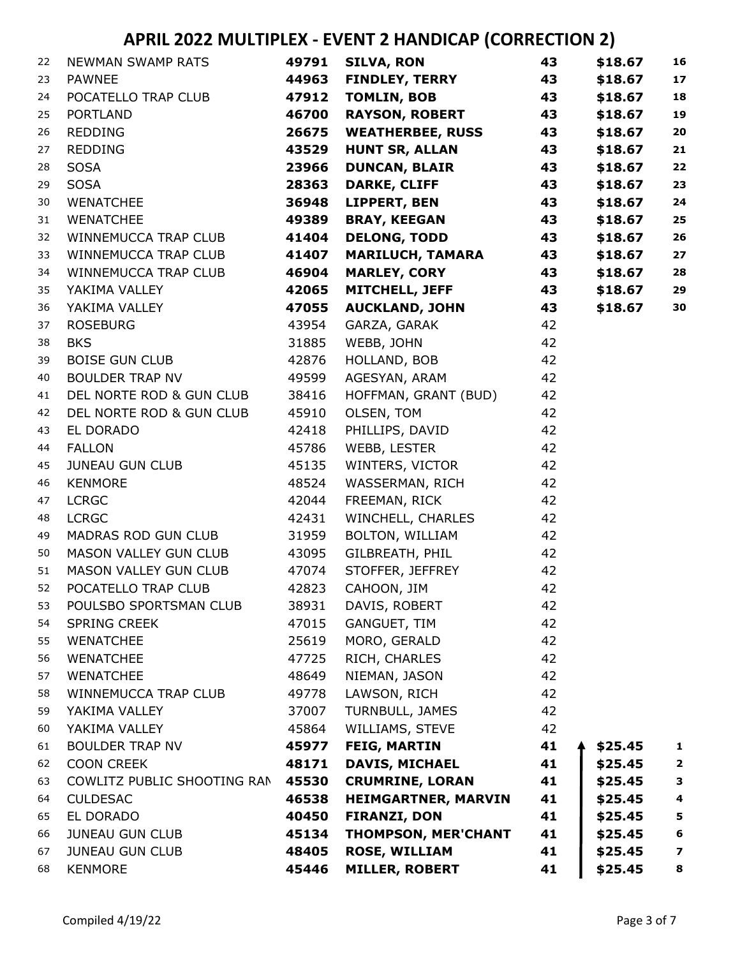| 22 | <b>NEWMAN SWAMP RATS</b>    | 49791 | <b>SILVA, RON</b>          | 43 | \$18.67 | 16                      |
|----|-----------------------------|-------|----------------------------|----|---------|-------------------------|
| 23 | <b>PAWNEE</b>               | 44963 | <b>FINDLEY, TERRY</b>      | 43 | \$18.67 | 17                      |
| 24 | POCATELLO TRAP CLUB         | 47912 | <b>TOMLIN, BOB</b>         | 43 | \$18.67 | 18                      |
| 25 | <b>PORTLAND</b>             | 46700 | <b>RAYSON, ROBERT</b>      | 43 | \$18.67 | 19                      |
| 26 | <b>REDDING</b>              | 26675 | <b>WEATHERBEE, RUSS</b>    | 43 | \$18.67 | 20                      |
| 27 | <b>REDDING</b>              | 43529 | <b>HUNT SR, ALLAN</b>      | 43 | \$18.67 | 21                      |
| 28 | <b>SOSA</b>                 | 23966 | <b>DUNCAN, BLAIR</b>       | 43 | \$18.67 | 22                      |
| 29 | <b>SOSA</b>                 | 28363 | <b>DARKE, CLIFF</b>        | 43 | \$18.67 | 23                      |
| 30 | <b>WENATCHEE</b>            | 36948 | LIPPERT, BEN               | 43 | \$18.67 | 24                      |
| 31 | <b>WENATCHEE</b>            | 49389 | <b>BRAY, KEEGAN</b>        | 43 | \$18.67 | 25                      |
| 32 | WINNEMUCCA TRAP CLUB        | 41404 | <b>DELONG, TODD</b>        | 43 | \$18.67 | 26                      |
| 33 | WINNEMUCCA TRAP CLUB        | 41407 | <b>MARILUCH, TAMARA</b>    | 43 | \$18.67 | 27                      |
| 34 | WINNEMUCCA TRAP CLUB        | 46904 | <b>MARLEY, CORY</b>        | 43 | \$18.67 | 28                      |
| 35 | YAKIMA VALLEY               | 42065 | <b>MITCHELL, JEFF</b>      | 43 | \$18.67 | 29                      |
| 36 | YAKIMA VALLEY               | 47055 | <b>AUCKLAND, JOHN</b>      | 43 | \$18.67 | 30                      |
| 37 | <b>ROSEBURG</b>             | 43954 | GARZA, GARAK               | 42 |         |                         |
| 38 | <b>BKS</b>                  | 31885 | WEBB, JOHN                 | 42 |         |                         |
| 39 | <b>BOISE GUN CLUB</b>       | 42876 | HOLLAND, BOB               | 42 |         |                         |
| 40 | <b>BOULDER TRAP NV</b>      | 49599 | AGESYAN, ARAM              | 42 |         |                         |
| 41 | DEL NORTE ROD & GUN CLUB    | 38416 | HOFFMAN, GRANT (BUD)       | 42 |         |                         |
| 42 | DEL NORTE ROD & GUN CLUB    | 45910 | OLSEN, TOM                 | 42 |         |                         |
| 43 | EL DORADO                   | 42418 | PHILLIPS, DAVID            | 42 |         |                         |
| 44 | <b>FALLON</b>               | 45786 | WEBB, LESTER               | 42 |         |                         |
| 45 | JUNEAU GUN CLUB             | 45135 | WINTERS, VICTOR            | 42 |         |                         |
| 46 | <b>KENMORE</b>              | 48524 | WASSERMAN, RICH            | 42 |         |                         |
| 47 | <b>LCRGC</b>                | 42044 | FREEMAN, RICK              | 42 |         |                         |
| 48 | <b>LCRGC</b>                | 42431 | WINCHELL, CHARLES          | 42 |         |                         |
| 49 | MADRAS ROD GUN CLUB         | 31959 | BOLTON, WILLIAM            | 42 |         |                         |
| 50 | MASON VALLEY GUN CLUB       | 43095 | GILBREATH, PHIL            | 42 |         |                         |
| 51 | MASON VALLEY GUN CLUB       | 47074 | STOFFER, JEFFREY           | 42 |         |                         |
| 52 | POCATELLO TRAP CLUB         | 42823 | CAHOON, JIM                | 42 |         |                         |
| 53 | POULSBO SPORTSMAN CLUB      | 38931 | DAVIS, ROBERT              | 42 |         |                         |
| 54 | <b>SPRING CREEK</b>         | 47015 | GANGUET, TIM               | 42 |         |                         |
| 55 | <b>WENATCHEE</b>            | 25619 | MORO, GERALD               | 42 |         |                         |
| 56 | WENATCHEE                   | 47725 | RICH, CHARLES              | 42 |         |                         |
| 57 | <b>WENATCHEE</b>            | 48649 | NIEMAN, JASON              | 42 |         |                         |
| 58 | WINNEMUCCA TRAP CLUB        | 49778 | LAWSON, RICH               | 42 |         |                         |
| 59 | YAKIMA VALLEY               | 37007 | TURNBULL, JAMES            | 42 |         |                         |
| 60 | YAKIMA VALLEY               | 45864 | WILLIAMS, STEVE            | 42 |         |                         |
| 61 | <b>BOULDER TRAP NV</b>      | 45977 | <b>FEIG, MARTIN</b>        | 41 | \$25.45 | 1                       |
| 62 | <b>COON CREEK</b>           | 48171 | DAVIS, MICHAEL             | 41 | \$25.45 | $\overline{\mathbf{2}}$ |
| 63 | COWLITZ PUBLIC SHOOTING RAN | 45530 | <b>CRUMRINE, LORAN</b>     | 41 | \$25.45 | 3                       |
| 64 | <b>CULDESAC</b>             | 46538 | <b>HEIMGARTNER, MARVIN</b> | 41 | \$25.45 | $\overline{\mathbf{4}}$ |
| 65 | EL DORADO                   | 40450 | <b>FIRANZI, DON</b>        | 41 | \$25.45 | 5                       |
| 66 | <b>JUNEAU GUN CLUB</b>      | 45134 | THOMPSON, MER'CHANT        | 41 | \$25.45 | 6                       |
| 67 | <b>JUNEAU GUN CLUB</b>      | 48405 | <b>ROSE, WILLIAM</b>       | 41 | \$25.45 | $\overline{\mathbf{z}}$ |
| 68 | KENMORE                     | 45446 | <b>MILLER, ROBERT</b>      | 41 | \$25.45 | 8                       |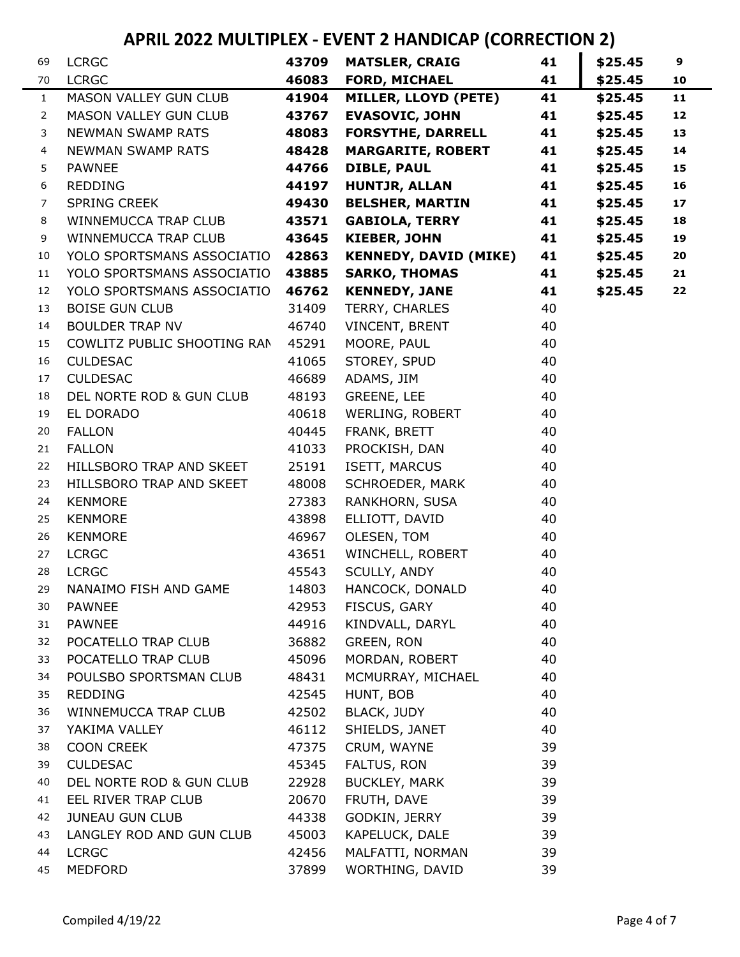| 69             | <b>LCRGC</b>                 | 43709 | <b>MATSLER, CRAIG</b>        | 41 | \$25.45 | 9  |
|----------------|------------------------------|-------|------------------------------|----|---------|----|
| 70             | <b>LCRGC</b>                 | 46083 | <b>FORD, MICHAEL</b>         | 41 | \$25.45 | 10 |
| $\mathbf{1}$   | MASON VALLEY GUN CLUB        | 41904 | MILLER, LLOYD (PETE)         | 41 | \$25.45 | 11 |
| $\overline{2}$ | <b>MASON VALLEY GUN CLUB</b> | 43767 | <b>EVASOVIC, JOHN</b>        | 41 | \$25.45 | 12 |
| 3              | <b>NEWMAN SWAMP RATS</b>     | 48083 | <b>FORSYTHE, DARRELL</b>     | 41 | \$25.45 | 13 |
| 4              | NEWMAN SWAMP RATS            | 48428 | <b>MARGARITE, ROBERT</b>     | 41 | \$25.45 | 14 |
| 5              | <b>PAWNEE</b>                | 44766 | <b>DIBLE, PAUL</b>           | 41 | \$25.45 | 15 |
| 6              | <b>REDDING</b>               | 44197 | <b>HUNTJR, ALLAN</b>         | 41 | \$25.45 | 16 |
| 7              | <b>SPRING CREEK</b>          | 49430 | <b>BELSHER, MARTIN</b>       | 41 | \$25.45 | 17 |
| 8              | WINNEMUCCA TRAP CLUB         | 43571 | <b>GABIOLA, TERRY</b>        | 41 | \$25.45 | 18 |
| 9              | WINNEMUCCA TRAP CLUB         | 43645 | <b>KIEBER, JOHN</b>          | 41 | \$25.45 | 19 |
| 10             | YOLO SPORTSMANS ASSOCIATIO   | 42863 | <b>KENNEDY, DAVID (MIKE)</b> | 41 | \$25.45 | 20 |
| 11             | YOLO SPORTSMANS ASSOCIATIO   | 43885 | <b>SARKO, THOMAS</b>         | 41 | \$25.45 | 21 |
| 12             | YOLO SPORTSMANS ASSOCIATIO   | 46762 | <b>KENNEDY, JANE</b>         | 41 | \$25.45 | 22 |
| 13             | <b>BOISE GUN CLUB</b>        | 31409 | TERRY, CHARLES               | 40 |         |    |
| 14             | <b>BOULDER TRAP NV</b>       | 46740 | VINCENT, BRENT               | 40 |         |    |
| 15             | COWLITZ PUBLIC SHOOTING RAN  | 45291 | MOORE, PAUL                  | 40 |         |    |
| 16             | <b>CULDESAC</b>              | 41065 | STOREY, SPUD                 | 40 |         |    |
| 17             | <b>CULDESAC</b>              | 46689 | ADAMS, JIM                   | 40 |         |    |
| 18             | DEL NORTE ROD & GUN CLUB     | 48193 | GREENE, LEE                  | 40 |         |    |
| 19             | EL DORADO                    | 40618 | WERLING, ROBERT              | 40 |         |    |
| 20             | <b>FALLON</b>                | 40445 | FRANK, BRETT                 | 40 |         |    |
| 21             | <b>FALLON</b>                | 41033 | PROCKISH, DAN                | 40 |         |    |
| 22             | HILLSBORO TRAP AND SKEET     | 25191 | ISETT, MARCUS                | 40 |         |    |
| 23             | HILLSBORO TRAP AND SKEET     | 48008 | SCHROEDER, MARK              | 40 |         |    |
| 24             | <b>KENMORE</b>               | 27383 | RANKHORN, SUSA               | 40 |         |    |
| 25             | <b>KENMORE</b>               | 43898 | ELLIOTT, DAVID               | 40 |         |    |
| 26             | <b>KENMORE</b>               | 46967 | OLESEN, TOM                  | 40 |         |    |
| 27             | <b>LCRGC</b>                 | 43651 | WINCHELL, ROBERT             | 40 |         |    |
| 28             | <b>LCRGC</b>                 | 45543 | SCULLY, ANDY                 | 40 |         |    |
| 29             | NANAIMO FISH AND GAME        | 14803 | HANCOCK, DONALD              | 40 |         |    |
| 30             | <b>PAWNEE</b>                | 42953 | FISCUS, GARY                 | 40 |         |    |
| 31             | <b>PAWNEE</b>                | 44916 | KINDVALL, DARYL              | 40 |         |    |
| 32             | POCATELLO TRAP CLUB          | 36882 | GREEN, RON                   | 40 |         |    |
| 33             | POCATELLO TRAP CLUB          | 45096 | MORDAN, ROBERT               | 40 |         |    |
| 34             | POULSBO SPORTSMAN CLUB       | 48431 | MCMURRAY, MICHAEL            | 40 |         |    |
| 35             | <b>REDDING</b>               | 42545 | HUNT, BOB                    | 40 |         |    |
| 36             | WINNEMUCCA TRAP CLUB         | 42502 | <b>BLACK, JUDY</b>           | 40 |         |    |
| 37             | YAKIMA VALLEY                | 46112 | SHIELDS, JANET               | 40 |         |    |
| 38             | <b>COON CREEK</b>            | 47375 | CRUM, WAYNE                  | 39 |         |    |
| 39             | <b>CULDESAC</b>              | 45345 | FALTUS, RON                  | 39 |         |    |
| 40             | DEL NORTE ROD & GUN CLUB     | 22928 | <b>BUCKLEY, MARK</b>         | 39 |         |    |
| 41             | EEL RIVER TRAP CLUB          | 20670 | FRUTH, DAVE                  | 39 |         |    |
| 42             | <b>JUNEAU GUN CLUB</b>       | 44338 | GODKIN, JERRY                | 39 |         |    |
| 43             | LANGLEY ROD AND GUN CLUB     | 45003 | KAPELUCK, DALE               | 39 |         |    |
| 44             | <b>LCRGC</b>                 | 42456 | MALFATTI, NORMAN             | 39 |         |    |
| 45             | <b>MEDFORD</b>               | 37899 | WORTHING, DAVID              | 39 |         |    |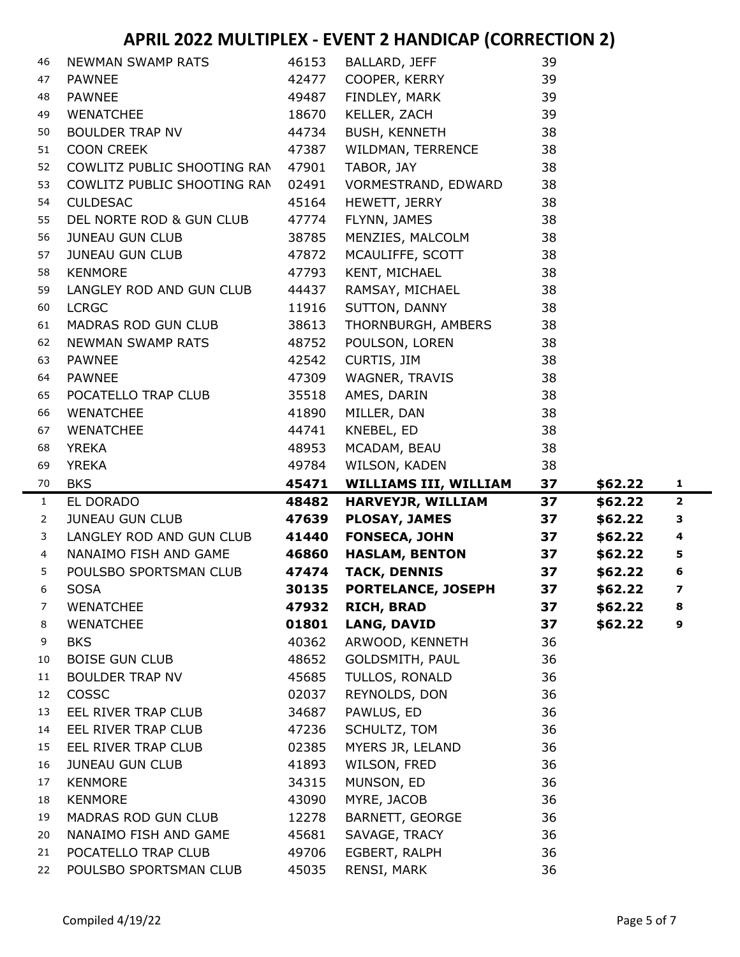| 46             | NEWMAN SWAMP RATS                             | 46153          | BALLARD, JEFF                | 39       |         |                          |
|----------------|-----------------------------------------------|----------------|------------------------------|----------|---------|--------------------------|
| 47             | <b>PAWNEE</b>                                 | 42477          | COOPER, KERRY                | 39       |         |                          |
| 48             | <b>PAWNEE</b>                                 | 49487          | FINDLEY, MARK                | 39       |         |                          |
| 49             | <b>WENATCHEE</b>                              | 18670          | KELLER, ZACH                 | 39       |         |                          |
| 50             | <b>BOULDER TRAP NV</b>                        | 44734          | <b>BUSH, KENNETH</b>         | 38       |         |                          |
| 51             | <b>COON CREEK</b>                             | 47387          | WILDMAN, TERRENCE            | 38       |         |                          |
| 52             | COWLITZ PUBLIC SHOOTING RAN                   | 47901          | TABOR, JAY                   | 38       |         |                          |
| 53             | COWLITZ PUBLIC SHOOTING RAN                   | 02491          | VORMESTRAND, EDWARD          | 38       |         |                          |
| 54             | <b>CULDESAC</b>                               | 45164          | HEWETT, JERRY                | 38       |         |                          |
| 55             | DEL NORTE ROD & GUN CLUB                      | 47774          | FLYNN, JAMES                 | 38       |         |                          |
| 56             | <b>JUNEAU GUN CLUB</b>                        | 38785          | MENZIES, MALCOLM             | 38       |         |                          |
| 57             | <b>JUNEAU GUN CLUB</b>                        | 47872          | MCAULIFFE, SCOTT             | 38       |         |                          |
| 58             | <b>KENMORE</b>                                | 47793          | KENT, MICHAEL                | 38       |         |                          |
| 59             | LANGLEY ROD AND GUN CLUB                      | 44437          | RAMSAY, MICHAEL              | 38       |         |                          |
| 60             | <b>LCRGC</b>                                  | 11916          | SUTTON, DANNY                | 38       |         |                          |
| 61             | MADRAS ROD GUN CLUB                           | 38613          | THORNBURGH, AMBERS           | 38       |         |                          |
| 62             | <b>NEWMAN SWAMP RATS</b>                      | 48752          | POULSON, LOREN               | 38       |         |                          |
| 63             | <b>PAWNEE</b>                                 | 42542          | CURTIS, JIM                  | 38       |         |                          |
| 64             | <b>PAWNEE</b>                                 | 47309          | WAGNER, TRAVIS               | 38       |         |                          |
| 65             | POCATELLO TRAP CLUB                           | 35518          | AMES, DARIN                  | 38       |         |                          |
| 66             | <b>WENATCHEE</b>                              | 41890          | MILLER, DAN                  | 38       |         |                          |
| 67             | <b>WENATCHEE</b>                              | 44741          | KNEBEL, ED                   | 38       |         |                          |
| 68             | <b>YREKA</b>                                  | 48953          | MCADAM, BEAU                 | 38       |         |                          |
| 69             | <b>YREKA</b>                                  | 49784          | WILSON, KADEN                | 38       |         |                          |
|                |                                               |                |                              |          |         |                          |
| 70             | <b>BKS</b>                                    | 45471          | <b>WILLIAMS III, WILLIAM</b> | 37       | \$62.22 | $\mathbf{1}$             |
| $\mathbf{1}$   | EL DORADO                                     | 48482          | HARVEYJR, WILLIAM            | 37       | \$62.22 | $\mathbf{2}$             |
| $\overline{2}$ | <b>JUNEAU GUN CLUB</b>                        | 47639          | <b>PLOSAY, JAMES</b>         | 37       | \$62.22 | з                        |
| 3              | LANGLEY ROD AND GUN CLUB                      | 41440          | <b>FONSECA, JOHN</b>         | 37       | \$62.22 | $\overline{\mathbf{4}}$  |
| 4              | NANAIMO FISH AND GAME                         | 46860          | <b>HASLAM, BENTON</b>        | 37       | \$62.22 | 5                        |
| 5              | POULSBO SPORTSMAN CLUB                        | 47474          | <b>TACK, DENNIS</b>          | 37       | \$62.22 | $\bf 6$                  |
| 6              | <b>SOSA</b>                                   | 30135          | <b>PORTELANCE, JOSEPH</b>    | 37       | \$62.22 | $\overline{\phantom{a}}$ |
| 7              | <b>WENATCHEE</b>                              | 47932          | <b>RICH, BRAD</b>            | 37       | \$62.22 | 8                        |
| 8              | <b>WENATCHEE</b>                              | 01801          | <b>LANG, DAVID</b>           | 37       | \$62.22 | 9                        |
| 9              | <b>BKS</b>                                    | 40362          | ARWOOD, KENNETH              | 36       |         |                          |
| 10             | <b>BOISE GUN CLUB</b>                         | 48652          | GOLDSMITH, PAUL              | 36       |         |                          |
| 11             | <b>BOULDER TRAP NV</b>                        | 45685          | TULLOS, RONALD               | 36       |         |                          |
| 12             | COSSC                                         | 02037          | REYNOLDS, DON                | 36       |         |                          |
| 13             | EEL RIVER TRAP CLUB                           | 34687          | PAWLUS, ED                   | 36       |         |                          |
| 14             | EEL RIVER TRAP CLUB                           | 47236          | SCHULTZ, TOM                 | 36       |         |                          |
| 15             | EEL RIVER TRAP CLUB                           | 02385          | MYERS JR, LELAND             | 36       |         |                          |
| 16             | <b>JUNEAU GUN CLUB</b>                        | 41893          | WILSON, FRED                 | 36       |         |                          |
| 17             | <b>KENMORE</b>                                | 34315          | MUNSON, ED                   | 36       |         |                          |
| 18             | <b>KENMORE</b>                                | 43090          | MYRE, JACOB                  | 36       |         |                          |
| 19             | MADRAS ROD GUN CLUB                           | 12278          | BARNETT, GEORGE              | 36       |         |                          |
| 20             | NANAIMO FISH AND GAME                         | 45681          | SAVAGE, TRACY                | 36       |         |                          |
| 21<br>22       | POCATELLO TRAP CLUB<br>POULSBO SPORTSMAN CLUB | 49706<br>45035 | EGBERT, RALPH<br>RENSI, MARK | 36<br>36 |         |                          |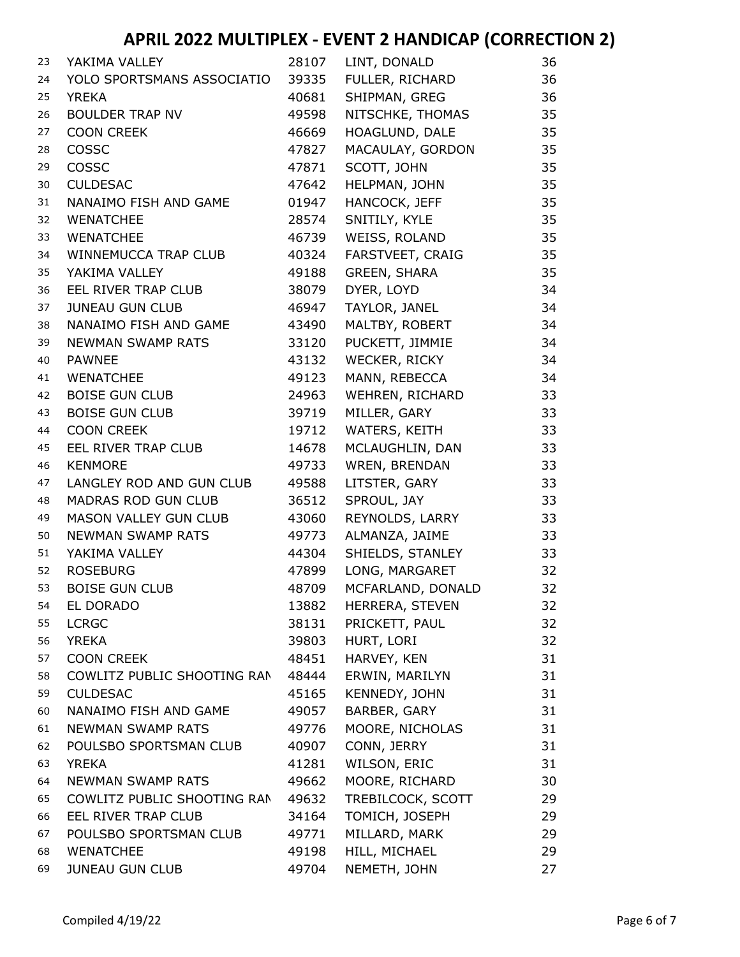| 23 | YAKIMA VALLEY                | 28107 | LINT, DONALD        | 36 |
|----|------------------------------|-------|---------------------|----|
| 24 | YOLO SPORTSMANS ASSOCIATIO   | 39335 | FULLER, RICHARD     | 36 |
| 25 | YREKA                        | 40681 | SHIPMAN, GREG       | 36 |
| 26 | <b>BOULDER TRAP NV</b>       | 49598 | NITSCHKE, THOMAS    | 35 |
| 27 | <b>COON CREEK</b>            | 46669 | HOAGLUND, DALE      | 35 |
| 28 | <b>COSSC</b>                 | 47827 | MACAULAY, GORDON    | 35 |
| 29 | <b>COSSC</b>                 | 47871 | SCOTT, JOHN         | 35 |
| 30 | <b>CULDESAC</b>              | 47642 | HELPMAN, JOHN       | 35 |
| 31 | NANAIMO FISH AND GAME        | 01947 | HANCOCK, JEFF       | 35 |
| 32 | <b>WENATCHEE</b>             | 28574 | SNITILY, KYLE       | 35 |
| 33 | <b>WENATCHEE</b>             | 46739 | WEISS, ROLAND       | 35 |
| 34 | WINNEMUCCA TRAP CLUB         | 40324 | FARSTVEET, CRAIG    | 35 |
| 35 | YAKIMA VALLEY                | 49188 | <b>GREEN, SHARA</b> | 35 |
| 36 | EEL RIVER TRAP CLUB          | 38079 | DYER, LOYD          | 34 |
| 37 | <b>JUNEAU GUN CLUB</b>       | 46947 | TAYLOR, JANEL       | 34 |
| 38 | NANAIMO FISH AND GAME        | 43490 | MALTBY, ROBERT      | 34 |
| 39 | <b>NEWMAN SWAMP RATS</b>     | 33120 | PUCKETT, JIMMIE     | 34 |
| 40 | <b>PAWNEE</b>                | 43132 | WECKER, RICKY       | 34 |
| 41 | <b>WENATCHEE</b>             | 49123 | MANN, REBECCA       | 34 |
| 42 | <b>BOISE GUN CLUB</b>        | 24963 | WEHREN, RICHARD     | 33 |
| 43 | <b>BOISE GUN CLUB</b>        | 39719 | MILLER, GARY        | 33 |
| 44 | <b>COON CREEK</b>            | 19712 | WATERS, KEITH       | 33 |
| 45 | EEL RIVER TRAP CLUB          | 14678 | MCLAUGHLIN, DAN     | 33 |
| 46 | <b>KENMORE</b>               | 49733 | WREN, BRENDAN       | 33 |
| 47 | LANGLEY ROD AND GUN CLUB     | 49588 | LITSTER, GARY       | 33 |
| 48 | MADRAS ROD GUN CLUB          | 36512 | SPROUL, JAY         | 33 |
| 49 | <b>MASON VALLEY GUN CLUB</b> | 43060 | REYNOLDS, LARRY     | 33 |
| 50 | <b>NEWMAN SWAMP RATS</b>     | 49773 | ALMANZA, JAIME      | 33 |
| 51 | YAKIMA VALLEY                | 44304 | SHIELDS, STANLEY    | 33 |
| 52 | <b>ROSEBURG</b>              | 47899 | LONG, MARGARET      | 32 |
| 53 | <b>BOISE GUN CLUB</b>        | 48709 | MCFARLAND, DONALD   | 32 |
| 54 | EL DORADO                    | 13882 | HERRERA, STEVEN     | 32 |
| 55 | <b>LCRGC</b>                 | 38131 | PRICKETT, PAUL      | 32 |
| 56 | <b>YREKA</b>                 | 39803 | HURT, LORI          | 32 |
| 57 | <b>COON CREEK</b>            | 48451 | HARVEY, KEN         | 31 |
| 58 | COWLITZ PUBLIC SHOOTING RAN  | 48444 | ERWIN, MARILYN      | 31 |
| 59 | <b>CULDESAC</b>              | 45165 | KENNEDY, JOHN       | 31 |
| 60 | NANAIMO FISH AND GAME        | 49057 | BARBER, GARY        | 31 |
| 61 | NEWMAN SWAMP RATS            | 49776 | MOORE, NICHOLAS     | 31 |
| 62 | POULSBO SPORTSMAN CLUB       | 40907 | CONN, JERRY         | 31 |
| 63 | <b>YREKA</b>                 | 41281 | WILSON, ERIC        | 31 |
| 64 | <b>NEWMAN SWAMP RATS</b>     | 49662 | MOORE, RICHARD      | 30 |
| 65 | COWLITZ PUBLIC SHOOTING RAN  | 49632 | TREBILCOCK, SCOTT   | 29 |
| 66 | EEL RIVER TRAP CLUB          | 34164 | TOMICH, JOSEPH      | 29 |
| 67 | POULSBO SPORTSMAN CLUB       | 49771 | MILLARD, MARK       | 29 |
| 68 | <b>WENATCHEE</b>             | 49198 | HILL, MICHAEL       | 29 |
| 69 | <b>JUNEAU GUN CLUB</b>       | 49704 | NEMETH, JOHN        | 27 |